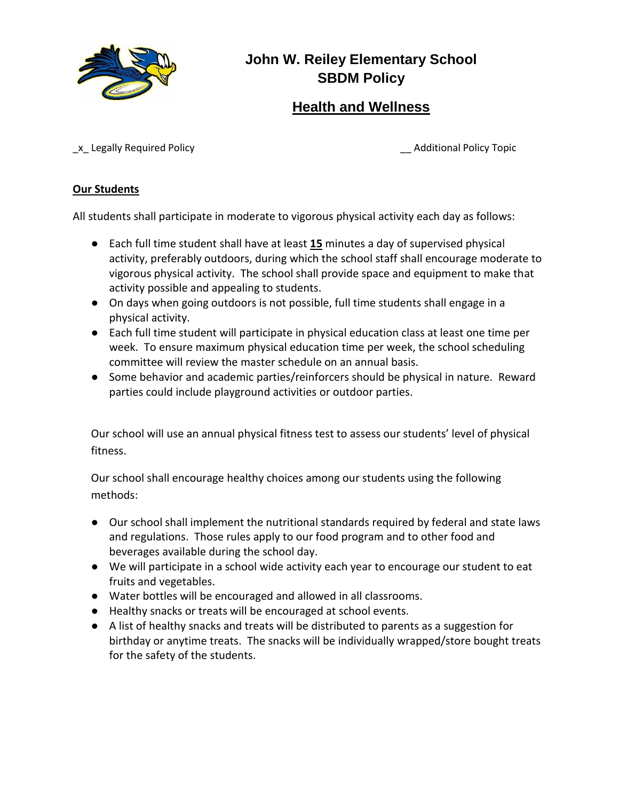

# **John W. Reiley Elementary School SBDM Policy**

## **Health and Wellness**

\_x\_ Legally Required Policy \_\_ Additional Policy Topic

#### **Our Students**

All students shall participate in moderate to vigorous physical activity each day as follows:

- Each full time student shall have at least 15 minutes a day of supervised physical activity, preferably outdoors, during which the school staff shall encourage moderate to vigorous physical activity. The school shall provide space and equipment to make that activity possible and appealing to students.
- On days when going outdoors is not possible, full time students shall engage in a physical activity.
- Each full time student will participate in physical education class at least one time per week. To ensure maximum physical education time per week, the school scheduling committee will review the master schedule on an annual basis.
- Some behavior and academic parties/reinforcers should be physical in nature. Reward parties could include playground activities or outdoor parties.

Our school will use an annual physical fitness test to assess our students' level of physical fitness.

Our school shall encourage healthy choices among our students using the following methods:

- Our school shall implement the nutritional standards required by federal and state laws and regulations. Those rules apply to our food program and to other food and beverages available during the school day.
- We will participate in a school wide activity each year to encourage our student to eat fruits and vegetables.
- Water bottles will be encouraged and allowed in all classrooms.
- Healthy snacks or treats will be encouraged at school events.
- A list of healthy snacks and treats will be distributed to parents as a suggestion for birthday or anytime treats. The snacks will be individually wrapped/store bought treats for the safety of the students.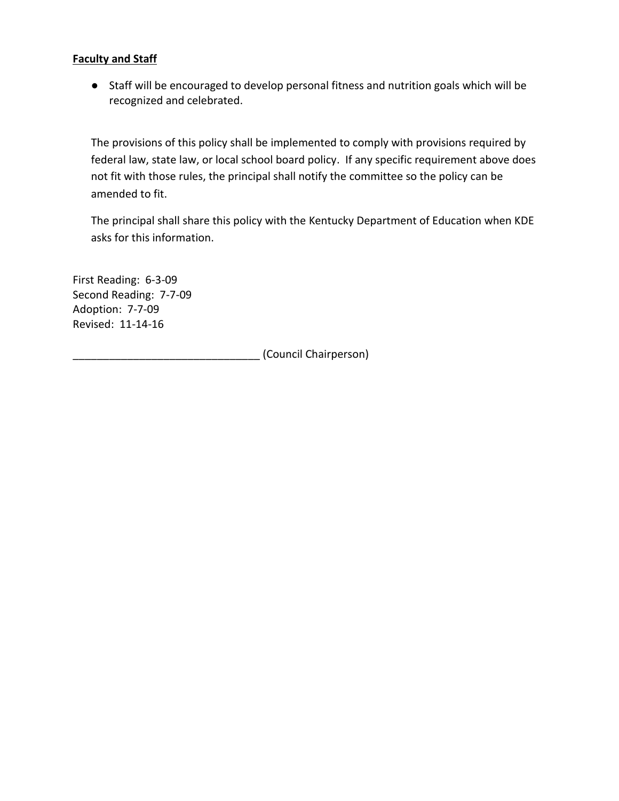#### **Faculty and Staff**

● Staff will be encouraged to develop personal fitness and nutrition goals which will be recognized and celebrated.

The provisions of this policy shall be implemented to comply with provisions required by federal law, state law, or local school board policy. If any specific requirement above does not fit with those rules, the principal shall notify the committee so the policy can be amended to fit.

The principal shall share this policy with the Kentucky Department of Education when KDE asks for this information.

First Reading: 6-3-09 Second Reading: 7-7-09 Adoption: 7-7-09 Revised: 11-14-16

\_\_\_\_\_\_\_\_\_\_\_\_\_\_\_\_\_\_\_\_\_\_\_\_\_\_\_\_\_\_\_ (Council Chairperson)